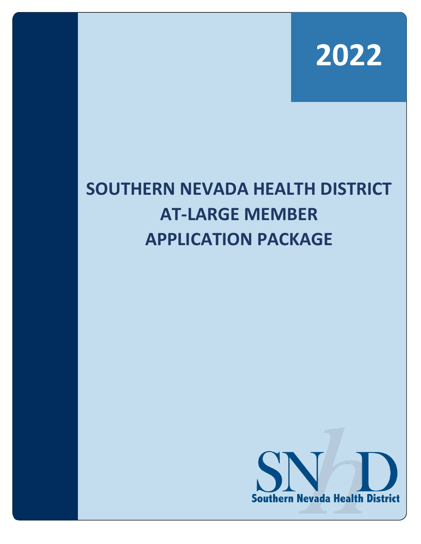

# **SOUTHERN NEVADA HEALTH DISTRICT AT-LARGE MEMBER APPLICATION PACKAGE**

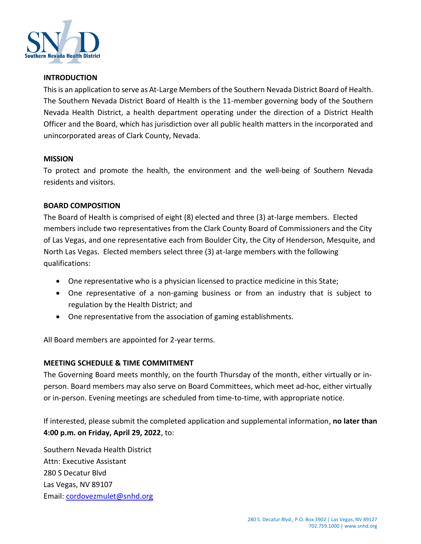

## **INTRODUCTION**

This is an application to serve as At-Large Members of the Southern Nevada District Board of Health. The Southern Nevada District Board of Health is the 11-member governing body of the Southern Nevada Health District, a health department operating under the direction of a District Health Officer and the Board, which has jurisdiction over all public health matters in the incorporated and unincorporated areas of Clark County, Nevada.

#### **MISSION**

To protect and promote the health, the environment and the well-being of Southern Nevada residents and visitors.

## **BOARD COMPOSITION**

The Board of Health is comprised of eight (8) elected and three (3) at-large members. Elected members include two representatives from the Clark County Board of Commissioners and the City of Las Vegas, and one representative each from Boulder City, the City of Henderson, Mesquite, and North Las Vegas. Elected members select three (3) at-large members with the following qualifications:

- One representative who is a physician licensed to practice medicine in this State;
- One representative of a non-gaming business or from an industry that is subject to regulation by the Health District; and
- One representative from the association of gaming establishments.

All Board members are appointed for 2-year terms.

## **MEETING SCHEDULE & TIME COMMITMENT**

The Governing Board meets monthly, on the fourth Thursday of the month, either virtually or inperson. Board members may also serve on Board Committees, which meet ad-hoc, either virtually or in-person. Evening meetings are scheduled from time-to-time, with appropriate notice.

If interested, please submit the completed application and supplemental information, **no later than 4:00 p.m. on Friday, April 29, 2022**, to:

Southern Nevada Health District Attn: Executive Assistant 280 S Decatur Blvd Las Vegas, NV 89107 Email: [cordovezmulet@snhd.org](mailto:cordovezmulet@snhd.org)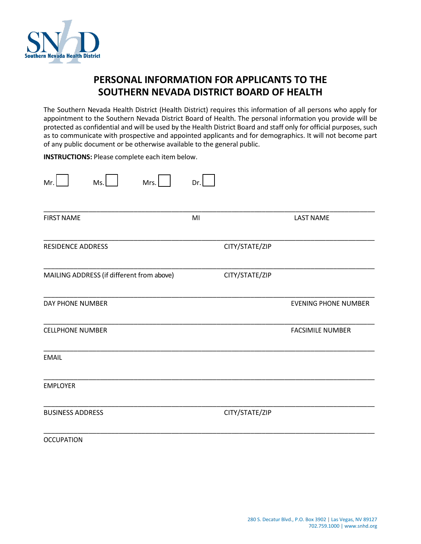

## **PERSONAL INFORMATION FOR APPLICANTS TO THE SOUTHERN NEVADA DISTRICT BOARD OF HEALTH**

The Southern Nevada Health District (Health District) requires this information of all persons who apply for appointment to the Southern Nevada District Board of Health. The personal information you provide will be protected as confidential and will be used by the Health District Board and staff only for official purposes, such as to communicate with prospective and appointed applicants and for demographics. It will not become part of any public document or be otherwise available to the general public.

**INSTRUCTIONS:** Please complete each item below.

| Mr.<br>Mrs.<br>Ms.                        | Dr.            |                             |
|-------------------------------------------|----------------|-----------------------------|
| <b>FIRST NAME</b>                         | MI             | <b>LAST NAME</b>            |
| <b>RESIDENCE ADDRESS</b>                  | CITY/STATE/ZIP |                             |
| MAILING ADDRESS (if different from above) | CITY/STATE/ZIP |                             |
| DAY PHONE NUMBER                          |                | <b>EVENING PHONE NUMBER</b> |
| <b>CELLPHONE NUMBER</b>                   |                | <b>FACSIMILE NUMBER</b>     |
| <b>EMAIL</b>                              |                |                             |
| <b>EMPLOYER</b>                           |                |                             |
| <b>BUSINESS ADDRESS</b>                   | CITY/STATE/ZIP |                             |
| <b>OCCUPATION</b>                         |                |                             |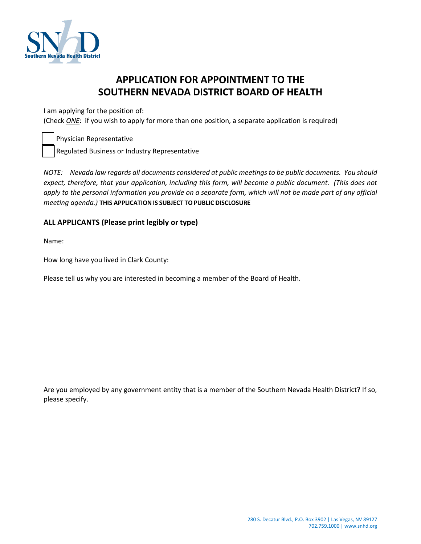

## **APPLICATION FOR APPOINTMENT TO THE SOUTHERN NEVADA DISTRICT BOARD OF HEALTH**

I am applying for the position of:

(Check *ONE*: if you wish to apply for more than one position, a separate application is required)

Physician Representative

Regulated Business or Industry Representative

*NOTE: Nevada law regards all documents considered at public meetings to be public documents. You should expect, therefore, that your application, including this form, will become a public document. (This does not apply to the personal information you provide on a separate form, which will not be made part of any official meeting agenda.)* **THIS APPLICATIONIS SUBJECT TOPUBLIC DISCLOSURE**

## **ALL APPLICANTS (Please print legibly or type)**

Name:

How long have you lived in Clark County:

Please tell us why you are interested in becoming a member of the Board of Health.

Are you employed by any government entity that is a member of the Southern Nevada Health District? If so, please specify.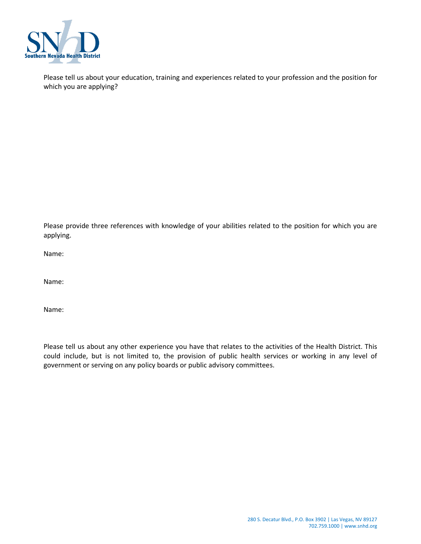

Please tell us about your education, training and experiences related to your profession and the position for which you are applying?

Please provide three references with knowledge of your abilities related to the position for which you are applying.

Name:

Name:

Name:

Please tell us about any other experience you have that relates to the activities of the Health District. This could include, but is not limited to, the provision of public health services or working in any level of government or serving on any policy boards or public advisory committees.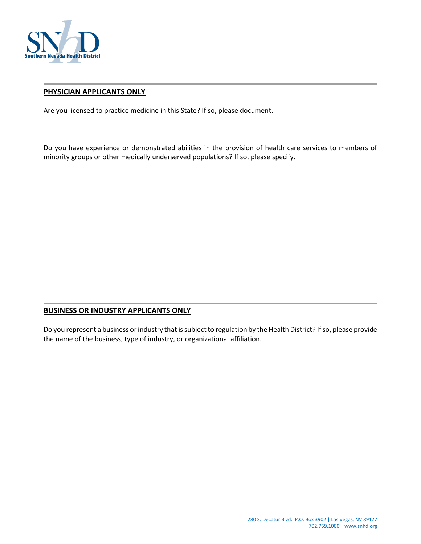

## **PHYSICIAN APPLICANTS ONLY**

Are you licensed to practice medicine in this State? If so, please document.

Do you have experience or demonstrated abilities in the provision of health care services to members of minority groups or other medically underserved populations? If so, please specify.

## **BUSINESS OR INDUSTRY APPLICANTS ONLY**

Do you represent a business or industry that is subject to regulation by the Health District? If so, please provide the name of the business, type of industry, or organizational affiliation.